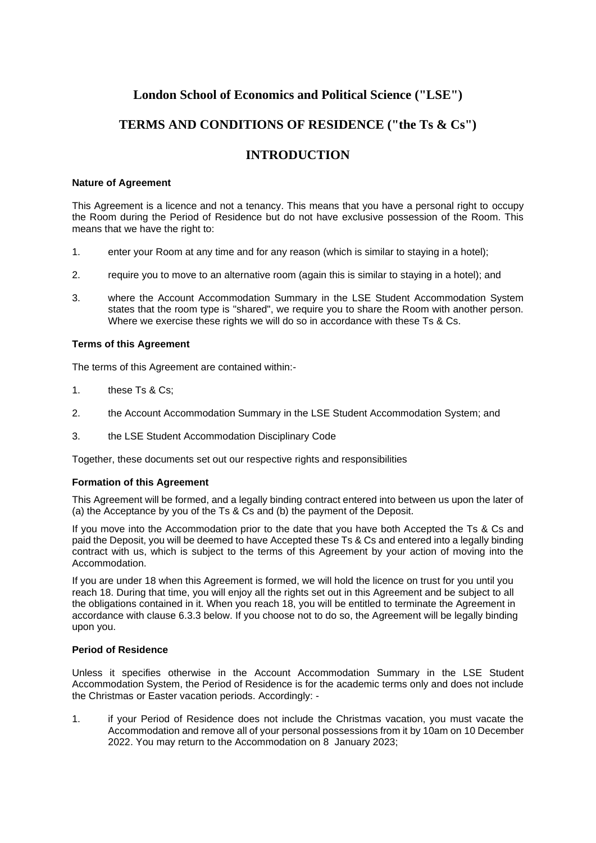# **London School of Economics and Political Science ("LSE")**

# **TERMS AND CONDITIONS OF RESIDENCE ("the Ts & Cs")**

# **INTRODUCTION**

# **Nature of Agreement**

This Agreement is a licence and not a tenancy. This means that you have a personal right to occupy the Room during the Period of Residence but do not have exclusive possession of the Room. This means that we have the right to:

- 1. enter your Room at any time and for any reason (which is similar to staying in a hotel);
- 2. require you to move to an alternative room (again this is similar to staying in a hotel); and
- 3. where the Account Accommodation Summary in the LSE Student Accommodation System states that the room type is "shared", we require you to share the Room with another person. Where we exercise these rights we will do so in accordance with these Ts & Cs.

# **Terms of this Agreement**

The terms of this Agreement are contained within:-

- 1. these Ts & Cs;
- 2. the Account Accommodation Summary in the LSE Student Accommodation System; and
- 3. the LSE Student Accommodation Disciplinary Code

Together, these documents set out our respective rights and responsibilities

# **Formation of this Agreement**

This Agreement will be formed, and a legally binding contract entered into between us upon the later of (a) the Acceptance by you of the Ts & Cs and (b) the payment of the Deposit.

If you move into the Accommodation prior to the date that you have both Accepted the Ts & Cs and paid the Deposit, you will be deemed to have Accepted these Ts & Cs and entered into a legally binding contract with us, which is subject to the terms of this Agreement by your action of moving into the Accommodation.

If you are under 18 when this Agreement is formed, we will hold the licence on trust for you until you reach 18. During that time, you will enjoy all the rights set out in this Agreement and be subject to all the obligations contained in it. When you reach 18, you will be entitled to terminate the Agreement in accordance with clause 6.3.3 below. If you choose not to do so, the Agreement will be legally binding upon you.

## **Period of Residence**

Unless it specifies otherwise in the Account Accommodation Summary in the LSE Student Accommodation System, the Period of Residence is for the academic terms only and does not include the Christmas or Easter vacation periods. Accordingly: -

1. if your Period of Residence does not include the Christmas vacation, you must vacate the Accommodation and remove all of your personal possessions from it by 10am on 10 December 2022. You may return to the Accommodation on 8 January 2023;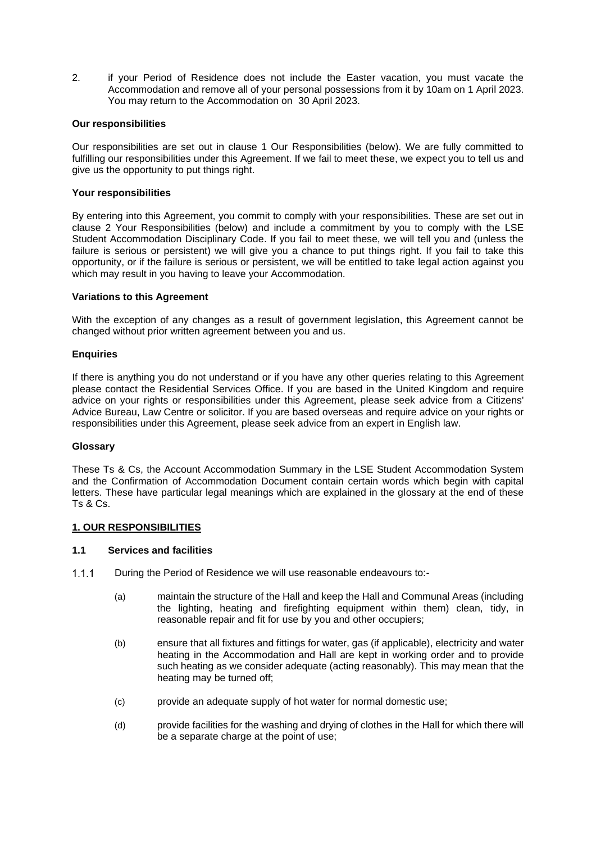2. if your Period of Residence does not include the Easter vacation, you must vacate the Accommodation and remove all of your personal possessions from it by 10am on 1 April 2023. You may return to the Accommodation on 30 April 2023.

# **Our responsibilities**

Our responsibilities are set out in clause 1 Our Responsibilities (below). We are fully committed to fulfilling our responsibilities under this Agreement. If we fail to meet these, we expect you to tell us and give us the opportunity to put things right.

## **Your responsibilities**

By entering into this Agreement, you commit to comply with your responsibilities. These are set out in clause 2 Your Responsibilities (below) and include a commitment by you to comply with the LSE Student Accommodation Disciplinary Code. If you fail to meet these, we will tell you and (unless the failure is serious or persistent) we will give you a chance to put things right. If you fail to take this opportunity, or if the failure is serious or persistent, we will be entitled to take legal action against you which may result in you having to leave your Accommodation.

# **Variations to this Agreement**

With the exception of any changes as a result of government legislation, this Agreement cannot be changed without prior written agreement between you and us.

# **Enquiries**

If there is anything you do not understand or if you have any other queries relating to this Agreement please contact the Residential Services Office. If you are based in the United Kingdom and require advice on your rights or responsibilities under this Agreement, please seek advice from a Citizens' Advice Bureau, Law Centre or solicitor. If you are based overseas and require advice on your rights or responsibilities under this Agreement, please seek advice from an expert in English law.

## **Glossary**

These Ts & Cs, the Account Accommodation Summary in the LSE Student Accommodation System and the Confirmation of Accommodation Document contain certain words which begin with capital letters. These have particular legal meanings which are explained in the glossary at the end of these Ts & Cs.

# **1. OUR RESPONSIBILITIES**

# **1.1 Services and facilities**

- $1.1.1$ During the Period of Residence we will use reasonable endeavours to:-
	- (a) maintain the structure of the Hall and keep the Hall and Communal Areas (including the lighting, heating and firefighting equipment within them) clean, tidy, in reasonable repair and fit for use by you and other occupiers;
	- (b) ensure that all fixtures and fittings for water, gas (if applicable), electricity and water heating in the Accommodation and Hall are kept in working order and to provide such heating as we consider adequate (acting reasonably). This may mean that the heating may be turned off;
	- (c) provide an adequate supply of hot water for normal domestic use;
	- (d) provide facilities for the washing and drying of clothes in the Hall for which there will be a separate charge at the point of use;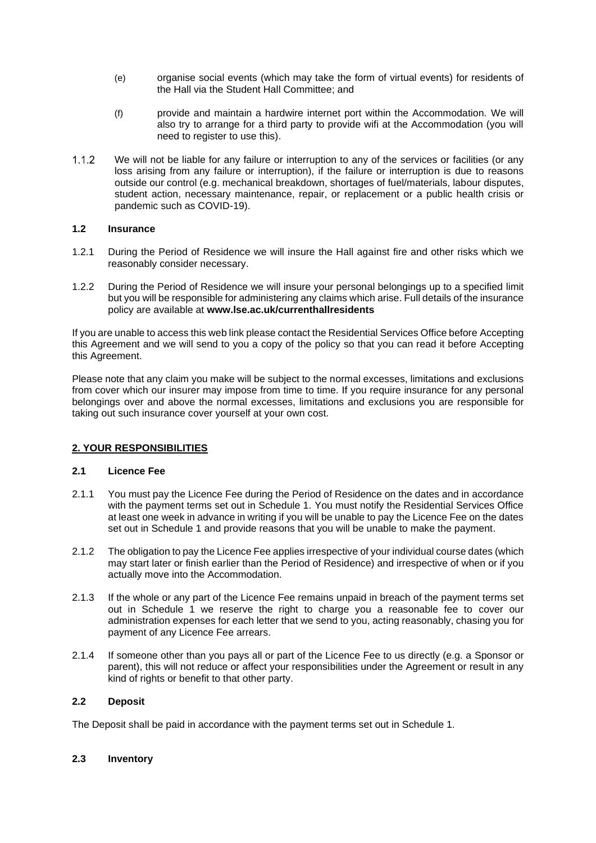- (e) organise social events (which may take the form of virtual events) for residents of the Hall via the Student Hall Committee; and
- (f) provide and maintain a hardwire internet port within the Accommodation. We will also try to arrange for a third party to provide wifi at the Accommodation (you will need to register to use this).
- $1.1.2$ We will not be liable for any failure or interruption to any of the services or facilities (or any loss arising from any failure or interruption), if the failure or interruption is due to reasons outside our control (e.g. mechanical breakdown, shortages of fuel/materials, labour disputes, student action, necessary maintenance, repair, or replacement or a public health crisis or pandemic such as COVID-19).

# **1.2 Insurance**

- 1.2.1 During the Period of Residence we will insure the Hall against fire and other risks which we reasonably consider necessary.
- 1.2.2 During the Period of Residence we will insure your personal belongings up to a specified limit but you will be responsible for administering any claims which arise. Full details of the insurance policy are available at **www.lse.ac.uk/currenthallresidents**

If you are unable to access this web link please contact the Residential Services Office before Accepting this Agreement and we will send to you a copy of the policy so that you can read it before Accepting this Agreement.

Please note that any claim you make will be subject to the normal excesses, limitations and exclusions from cover which our insurer may impose from time to time. If you require insurance for any personal belongings over and above the normal excesses, limitations and exclusions you are responsible for taking out such insurance cover yourself at your own cost.

# **2. YOUR RESPONSIBILITIES**

## **2.1 Licence Fee**

- 2.1.1 You must pay the Licence Fee during the Period of Residence on the dates and in accordance with the payment terms set out in Schedule 1. You must notify the Residential Services Office at least one week in advance in writing if you will be unable to pay the Licence Fee on the dates set out in Schedule 1 and provide reasons that you will be unable to make the payment.
- 2.1.2 The obligation to pay the Licence Fee applies irrespective of your individual course dates (which may start later or finish earlier than the Period of Residence) and irrespective of when or if you actually move into the Accommodation.
- 2.1.3 If the whole or any part of the Licence Fee remains unpaid in breach of the payment terms set out in Schedule 1 we reserve the right to charge you a reasonable fee to cover our administration expenses for each letter that we send to you, acting reasonably, chasing you for payment of any Licence Fee arrears.
- 2.1.4 If someone other than you pays all or part of the Licence Fee to us directly (e.g. a Sponsor or parent), this will not reduce or affect your responsibilities under the Agreement or result in any kind of rights or benefit to that other party.

# **2.2 Deposit**

The Deposit shall be paid in accordance with the payment terms set out in Schedule 1.

## **2.3 Inventory**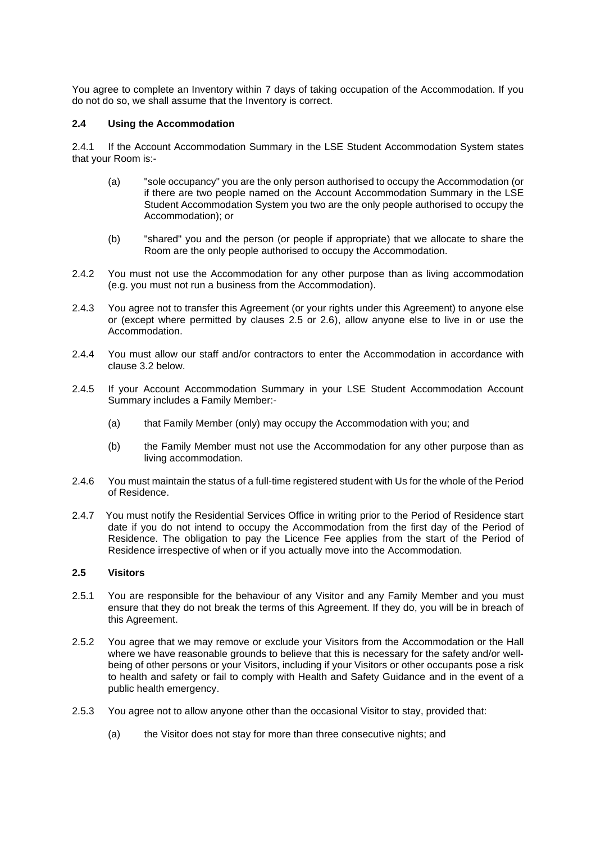You agree to complete an Inventory within 7 days of taking occupation of the Accommodation. If you do not do so, we shall assume that the Inventory is correct.

## **2.4 Using the Accommodation**

2.4.1 If the Account Accommodation Summary in the LSE Student Accommodation System states that your Room is:-

- (a) "sole occupancy" you are the only person authorised to occupy the Accommodation (or if there are two people named on the Account Accommodation Summary in the LSE Student Accommodation System you two are the only people authorised to occupy the Accommodation); or
- (b) "shared" you and the person (or people if appropriate) that we allocate to share the Room are the only people authorised to occupy the Accommodation.
- 2.4.2 You must not use the Accommodation for any other purpose than as living accommodation (e.g. you must not run a business from the Accommodation).
- 2.4.3 You agree not to transfer this Agreement (or your rights under this Agreement) to anyone else or (except where permitted by clauses 2.5 or 2.6), allow anyone else to live in or use the Accommodation.
- 2.4.4 You must allow our staff and/or contractors to enter the Accommodation in accordance with clause 3.2 below.
- 2.4.5 If your Account Accommodation Summary in your LSE Student Accommodation Account Summary includes a Family Member:-
	- (a) that Family Member (only) may occupy the Accommodation with you; and
	- (b) the Family Member must not use the Accommodation for any other purpose than as living accommodation.
- 2.4.6 You must maintain the status of a full-time registered student with Us for the whole of the Period of Residence.
- 2.4.7 You must notify the Residential Services Office in writing prior to the Period of Residence start date if you do not intend to occupy the Accommodation from the first day of the Period of Residence. The obligation to pay the Licence Fee applies from the start of the Period of Residence irrespective of when or if you actually move into the Accommodation.

# **2.5 Visitors**

- 2.5.1 You are responsible for the behaviour of any Visitor and any Family Member and you must ensure that they do not break the terms of this Agreement. If they do, you will be in breach of this Agreement.
- 2.5.2 You agree that we may remove or exclude your Visitors from the Accommodation or the Hall where we have reasonable grounds to believe that this is necessary for the safety and/or wellbeing of other persons or your Visitors, including if your Visitors or other occupants pose a risk to health and safety or fail to comply with Health and Safety Guidance and in the event of a public health emergency.
- 2.5.3 You agree not to allow anyone other than the occasional Visitor to stay, provided that:
	- (a) the Visitor does not stay for more than three consecutive nights; and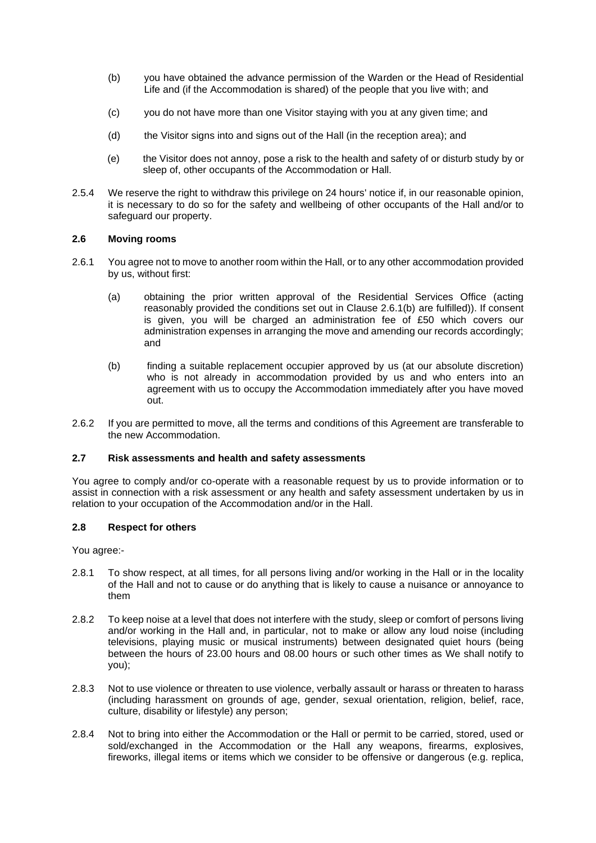- (b) you have obtained the advance permission of the Warden or the Head of Residential Life and (if the Accommodation is shared) of the people that you live with; and
- (c) you do not have more than one Visitor staying with you at any given time; and
- (d) the Visitor signs into and signs out of the Hall (in the reception area); and
- (e) the Visitor does not annoy, pose a risk to the health and safety of or disturb study by or sleep of, other occupants of the Accommodation or Hall.
- 2.5.4 We reserve the right to withdraw this privilege on 24 hours' notice if, in our reasonable opinion, it is necessary to do so for the safety and wellbeing of other occupants of the Hall and/or to safeguard our property.

## **2.6 Moving rooms**

- 2.6.1 You agree not to move to another room within the Hall, or to any other accommodation provided by us, without first:
	- (a) obtaining the prior written approval of the Residential Services Office (acting reasonably provided the conditions set out in Clause 2.6.1(b) are fulfilled)). If consent is given, you will be charged an administration fee of £50 which covers our administration expenses in arranging the move and amending our records accordingly; and
	- (b) finding a suitable replacement occupier approved by us (at our absolute discretion) who is not already in accommodation provided by us and who enters into an agreement with us to occupy the Accommodation immediately after you have moved out.
- 2.6.2 If you are permitted to move, all the terms and conditions of this Agreement are transferable to the new Accommodation.

## **2.7 Risk assessments and health and safety assessments**

You agree to comply and/or co-operate with a reasonable request by us to provide information or to assist in connection with a risk assessment or any health and safety assessment undertaken by us in relation to your occupation of the Accommodation and/or in the Hall.

## **2.8 Respect for others**

You agree:-

- 2.8.1 To show respect, at all times, for all persons living and/or working in the Hall or in the locality of the Hall and not to cause or do anything that is likely to cause a nuisance or annoyance to them
- 2.8.2 To keep noise at a level that does not interfere with the study, sleep or comfort of persons living and/or working in the Hall and, in particular, not to make or allow any loud noise (including televisions, playing music or musical instruments) between designated quiet hours (being between the hours of 23.00 hours and 08.00 hours or such other times as We shall notify to you);
- 2.8.3 Not to use violence or threaten to use violence, verbally assault or harass or threaten to harass (including harassment on grounds of age, gender, sexual orientation, religion, belief, race, culture, disability or lifestyle) any person;
- 2.8.4 Not to bring into either the Accommodation or the Hall or permit to be carried, stored, used or sold/exchanged in the Accommodation or the Hall any weapons, firearms, explosives, fireworks, illegal items or items which we consider to be offensive or dangerous (e.g. replica,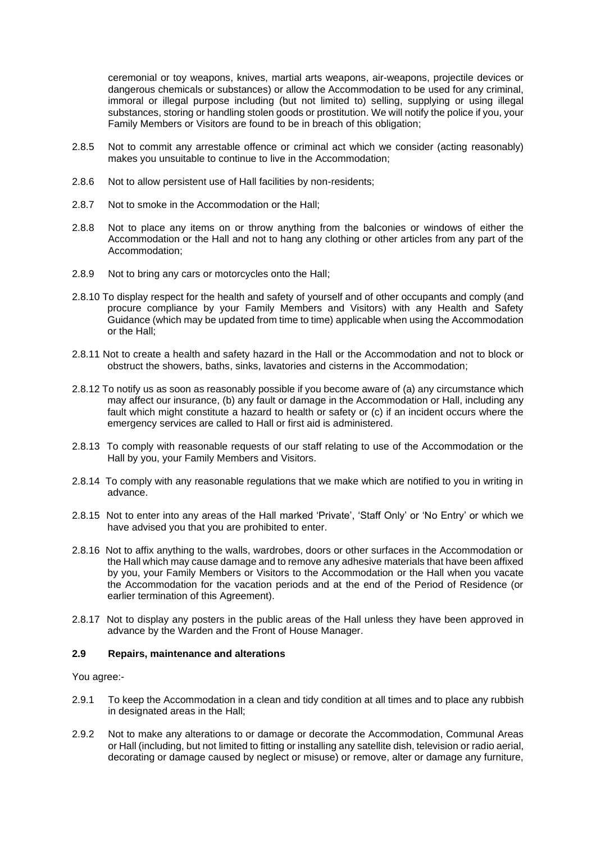ceremonial or toy weapons, knives, martial arts weapons, air-weapons, projectile devices or dangerous chemicals or substances) or allow the Accommodation to be used for any criminal, immoral or illegal purpose including (but not limited to) selling, supplying or using illegal substances, storing or handling stolen goods or prostitution. We will notify the police if you, your Family Members or Visitors are found to be in breach of this obligation;

- 2.8.5 Not to commit any arrestable offence or criminal act which we consider (acting reasonably) makes you unsuitable to continue to live in the Accommodation;
- 2.8.6 Not to allow persistent use of Hall facilities by non-residents;
- 2.8.7 Not to smoke in the Accommodation or the Hall;
- 2.8.8 Not to place any items on or throw anything from the balconies or windows of either the Accommodation or the Hall and not to hang any clothing or other articles from any part of the Accommodation;
- 2.8.9 Not to bring any cars or motorcycles onto the Hall;
- 2.8.10 To display respect for the health and safety of yourself and of other occupants and comply (and procure compliance by your Family Members and Visitors) with any Health and Safety Guidance (which may be updated from time to time) applicable when using the Accommodation or the Hall;
- 2.8.11 Not to create a health and safety hazard in the Hall or the Accommodation and not to block or obstruct the showers, baths, sinks, lavatories and cisterns in the Accommodation;
- 2.8.12 To notify us as soon as reasonably possible if you become aware of (a) any circumstance which may affect our insurance, (b) any fault or damage in the Accommodation or Hall, including any fault which might constitute a hazard to health or safety or (c) if an incident occurs where the emergency services are called to Hall or first aid is administered.
- 2.8.13 To comply with reasonable requests of our staff relating to use of the Accommodation or the Hall by you, your Family Members and Visitors.
- 2.8.14 To comply with any reasonable regulations that we make which are notified to you in writing in advance.
- 2.8.15 Not to enter into any areas of the Hall marked 'Private', 'Staff Only' or 'No Entry' or which we have advised you that you are prohibited to enter.
- 2.8.16 Not to affix anything to the walls, wardrobes, doors or other surfaces in the Accommodation or the Hall which may cause damage and to remove any adhesive materials that have been affixed by you, your Family Members or Visitors to the Accommodation or the Hall when you vacate the Accommodation for the vacation periods and at the end of the Period of Residence (or earlier termination of this Agreement).
- 2.8.17 Not to display any posters in the public areas of the Hall unless they have been approved in advance by the Warden and the Front of House Manager.

#### **2.9 Repairs, maintenance and alterations**

You agree:-

- 2.9.1 To keep the Accommodation in a clean and tidy condition at all times and to place any rubbish in designated areas in the Hall;
- 2.9.2 Not to make any alterations to or damage or decorate the Accommodation, Communal Areas or Hall (including, but not limited to fitting or installing any satellite dish, television or radio aerial, decorating or damage caused by neglect or misuse) or remove, alter or damage any furniture,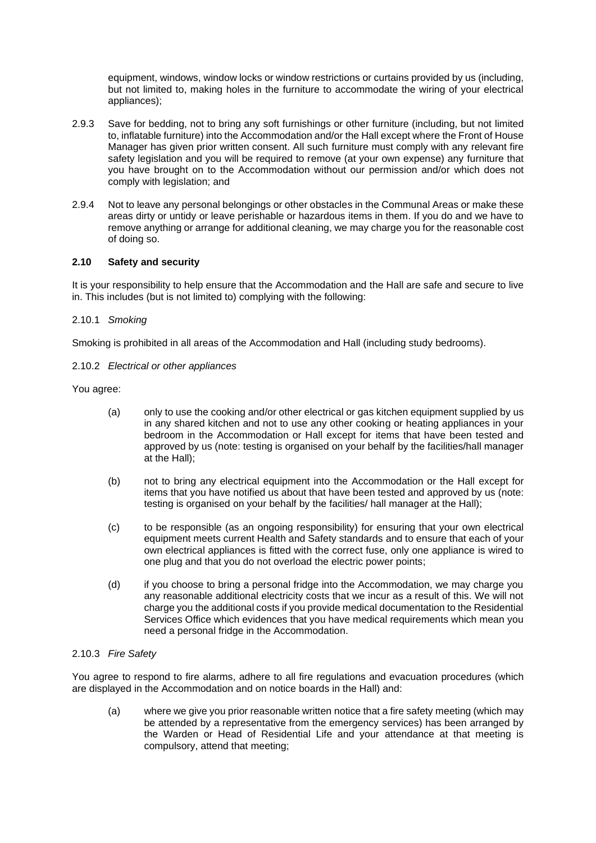equipment, windows, window locks or window restrictions or curtains provided by us (including, but not limited to, making holes in the furniture to accommodate the wiring of your electrical appliances);

- 2.9.3 Save for bedding, not to bring any soft furnishings or other furniture (including, but not limited to, inflatable furniture) into the Accommodation and/or the Hall except where the Front of House Manager has given prior written consent. All such furniture must comply with any relevant fire safety legislation and you will be required to remove (at your own expense) any furniture that you have brought on to the Accommodation without our permission and/or which does not comply with legislation; and
- 2.9.4 Not to leave any personal belongings or other obstacles in the Communal Areas or make these areas dirty or untidy or leave perishable or hazardous items in them. If you do and we have to remove anything or arrange for additional cleaning, we may charge you for the reasonable cost of doing so.

# **2.10 Safety and security**

It is your responsibility to help ensure that the Accommodation and the Hall are safe and secure to live in. This includes (but is not limited to) complying with the following:

# 2.10.1 *Smoking*

Smoking is prohibited in all areas of the Accommodation and Hall (including study bedrooms).

2.10.2 *Electrical or other appliances*

You agree:

- (a) only to use the cooking and/or other electrical or gas kitchen equipment supplied by us in any shared kitchen and not to use any other cooking or heating appliances in your bedroom in the Accommodation or Hall except for items that have been tested and approved by us (note: testing is organised on your behalf by the facilities/hall manager at the Hall);
- (b) not to bring any electrical equipment into the Accommodation or the Hall except for items that you have notified us about that have been tested and approved by us (note: testing is organised on your behalf by the facilities/ hall manager at the Hall);
- (c) to be responsible (as an ongoing responsibility) for ensuring that your own electrical equipment meets current Health and Safety standards and to ensure that each of your own electrical appliances is fitted with the correct fuse, only one appliance is wired to one plug and that you do not overload the electric power points;
- (d) if you choose to bring a personal fridge into the Accommodation, we may charge you any reasonable additional electricity costs that we incur as a result of this. We will not charge you the additional costs if you provide medical documentation to the Residential Services Office which evidences that you have medical requirements which mean you need a personal fridge in the Accommodation.

## 2.10.3 *Fire Safety*

You agree to respond to fire alarms, adhere to all fire regulations and evacuation procedures (which are displayed in the Accommodation and on notice boards in the Hall) and:

(a) where we give you prior reasonable written notice that a fire safety meeting (which may be attended by a representative from the emergency services) has been arranged by the Warden or Head of Residential Life and your attendance at that meeting is compulsory, attend that meeting;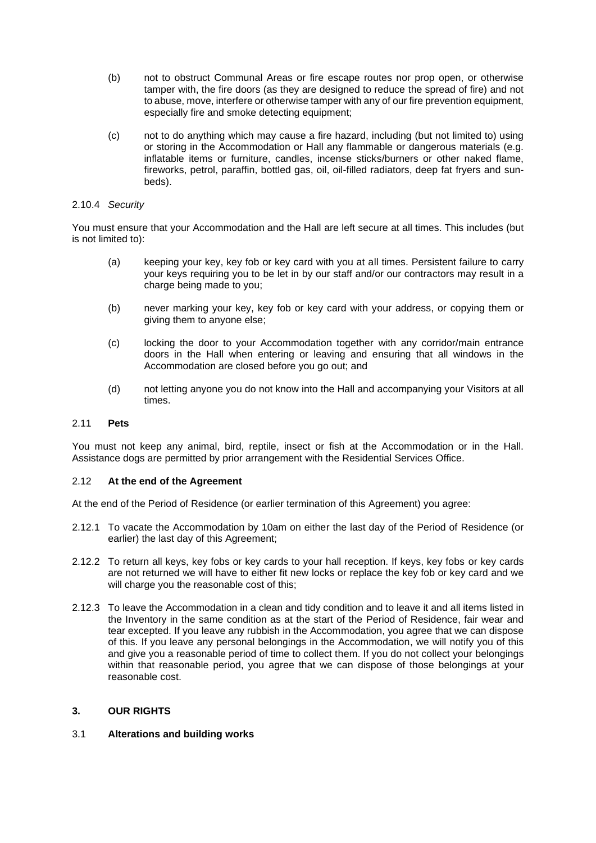- (b) not to obstruct Communal Areas or fire escape routes nor prop open, or otherwise tamper with, the fire doors (as they are designed to reduce the spread of fire) and not to abuse, move, interfere or otherwise tamper with any of our fire prevention equipment, especially fire and smoke detecting equipment;
- (c) not to do anything which may cause a fire hazard, including (but not limited to) using or storing in the Accommodation or Hall any flammable or dangerous materials (e.g. inflatable items or furniture, candles, incense sticks/burners or other naked flame, fireworks, petrol, paraffin, bottled gas, oil, oil-filled radiators, deep fat fryers and sunbeds).

## 2.10.4 *Security*

You must ensure that your Accommodation and the Hall are left secure at all times. This includes (but is not limited to):

- (a) keeping your key, key fob or key card with you at all times. Persistent failure to carry your keys requiring you to be let in by our staff and/or our contractors may result in a charge being made to you;
- (b) never marking your key, key fob or key card with your address, or copying them or giving them to anyone else;
- (c) locking the door to your Accommodation together with any corridor/main entrance doors in the Hall when entering or leaving and ensuring that all windows in the Accommodation are closed before you go out; and
- (d) not letting anyone you do not know into the Hall and accompanying your Visitors at all times.

# 2.11 **Pets**

You must not keep any animal, bird, reptile, insect or fish at the Accommodation or in the Hall. Assistance dogs are permitted by prior arrangement with the Residential Services Office.

## 2.12 **At the end of the Agreement**

At the end of the Period of Residence (or earlier termination of this Agreement) you agree:

- 2.12.1 To vacate the Accommodation by 10am on either the last day of the Period of Residence (or earlier) the last day of this Agreement;
- 2.12.2 To return all keys, key fobs or key cards to your hall reception. If keys, key fobs or key cards are not returned we will have to either fit new locks or replace the key fob or key card and we will charge you the reasonable cost of this;
- 2.12.3 To leave the Accommodation in a clean and tidy condition and to leave it and all items listed in the Inventory in the same condition as at the start of the Period of Residence, fair wear and tear excepted. If you leave any rubbish in the Accommodation, you agree that we can dispose of this. If you leave any personal belongings in the Accommodation, we will notify you of this and give you a reasonable period of time to collect them. If you do not collect your belongings within that reasonable period, you agree that we can dispose of those belongings at your reasonable cost.

## **3. OUR RIGHTS**

## 3.1 **Alterations and building works**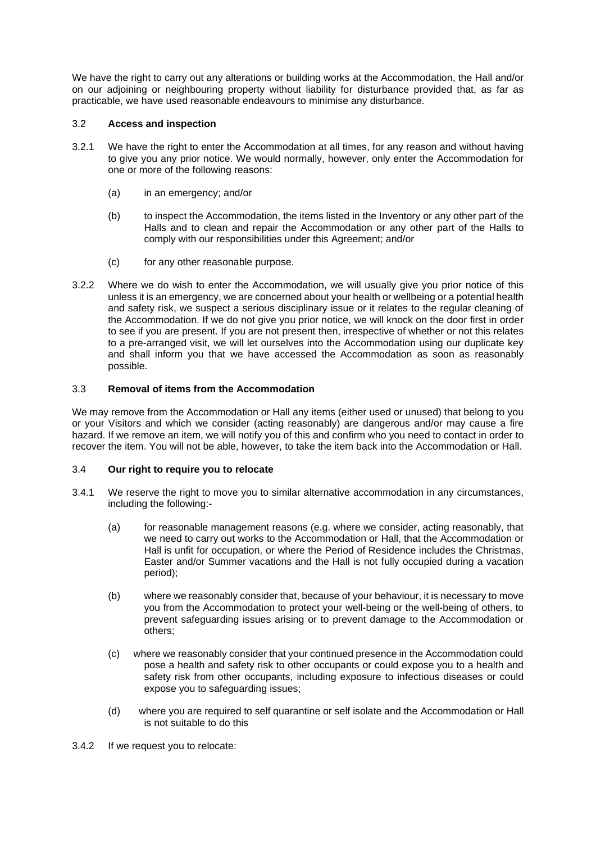We have the right to carry out any alterations or building works at the Accommodation, the Hall and/or on our adjoining or neighbouring property without liability for disturbance provided that, as far as practicable, we have used reasonable endeavours to minimise any disturbance.

# 3.2 **Access and inspection**

- 3.2.1 We have the right to enter the Accommodation at all times, for any reason and without having to give you any prior notice. We would normally, however, only enter the Accommodation for one or more of the following reasons:
	- (a) in an emergency; and/or
	- (b) to inspect the Accommodation, the items listed in the Inventory or any other part of the Halls and to clean and repair the Accommodation or any other part of the Halls to comply with our responsibilities under this Agreement; and/or
	- (c) for any other reasonable purpose.
- 3.2.2 Where we do wish to enter the Accommodation, we will usually give you prior notice of this unless it is an emergency, we are concerned about your health or wellbeing or a potential health and safety risk, we suspect a serious disciplinary issue or it relates to the regular cleaning of the Accommodation. If we do not give you prior notice, we will knock on the door first in order to see if you are present. If you are not present then, irrespective of whether or not this relates to a pre-arranged visit, we will let ourselves into the Accommodation using our duplicate key and shall inform you that we have accessed the Accommodation as soon as reasonably possible.

# 3.3 **Removal of items from the Accommodation**

We may remove from the Accommodation or Hall any items (either used or unused) that belong to you or your Visitors and which we consider (acting reasonably) are dangerous and/or may cause a fire hazard. If we remove an item, we will notify you of this and confirm who you need to contact in order to recover the item. You will not be able, however, to take the item back into the Accommodation or Hall.

## 3.4 **Our right to require you to relocate**

- 3.4.1 We reserve the right to move you to similar alternative accommodation in any circumstances, including the following:-
	- (a) for reasonable management reasons (e.g. where we consider, acting reasonably, that we need to carry out works to the Accommodation or Hall, that the Accommodation or Hall is unfit for occupation, or where the Period of Residence includes the Christmas, Easter and/or Summer vacations and the Hall is not fully occupied during a vacation period);
	- (b) where we reasonably consider that, because of your behaviour, it is necessary to move you from the Accommodation to protect your well-being or the well-being of others, to prevent safeguarding issues arising or to prevent damage to the Accommodation or others;
	- (c) where we reasonably consider that your continued presence in the Accommodation could pose a health and safety risk to other occupants or could expose you to a health and safety risk from other occupants, including exposure to infectious diseases or could expose you to safeguarding issues;
	- (d) where you are required to self quarantine or self isolate and the Accommodation or Hall is not suitable to do this
- 3.4.2 If we request you to relocate: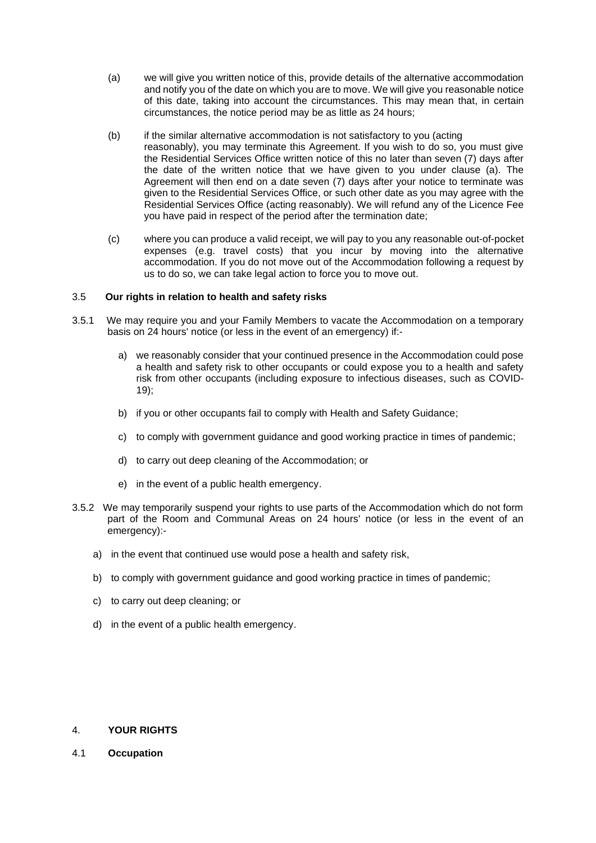- (a) we will give you written notice of this, provide details of the alternative accommodation and notify you of the date on which you are to move. We will give you reasonable notice of this date, taking into account the circumstances. This may mean that, in certain circumstances, the notice period may be as little as 24 hours;
- (b) if the similar alternative accommodation is not satisfactory to you (acting reasonably), you may terminate this Agreement. If you wish to do so, you must give the Residential Services Office written notice of this no later than seven (7) days after the date of the written notice that we have given to you under clause (a). The Agreement will then end on a date seven (7) days after your notice to terminate was given to the Residential Services Office, or such other date as you may agree with the Residential Services Office (acting reasonably). We will refund any of the Licence Fee you have paid in respect of the period after the termination date;
- (c) where you can produce a valid receipt, we will pay to you any reasonable out-of-pocket expenses (e.g. travel costs) that you incur by moving into the alternative accommodation. If you do not move out of the Accommodation following a request by us to do so, we can take legal action to force you to move out.

# 3.5 **Our rights in relation to health and safety risks**

- 3.5.1 We may require you and your Family Members to vacate the Accommodation on a temporary basis on 24 hours' notice (or less in the event of an emergency) if:
	- a) we reasonably consider that your continued presence in the Accommodation could pose a health and safety risk to other occupants or could expose you to a health and safety risk from other occupants (including exposure to infectious diseases, such as COVID-19);
	- b) if you or other occupants fail to comply with Health and Safety Guidance;
	- c) to comply with government guidance and good working practice in times of pandemic;
	- d) to carry out deep cleaning of the Accommodation; or
	- e) in the event of a public health emergency.
- 3.5.2 We may temporarily suspend your rights to use parts of the Accommodation which do not form part of the Room and Communal Areas on 24 hours' notice (or less in the event of an emergency):
	- a) in the event that continued use would pose a health and safety risk,
	- b) to comply with government guidance and good working practice in times of pandemic;
	- c) to carry out deep cleaning; or
	- d) in the event of a public health emergency.

## 4. **YOUR RIGHTS**

4.1 **Occupation**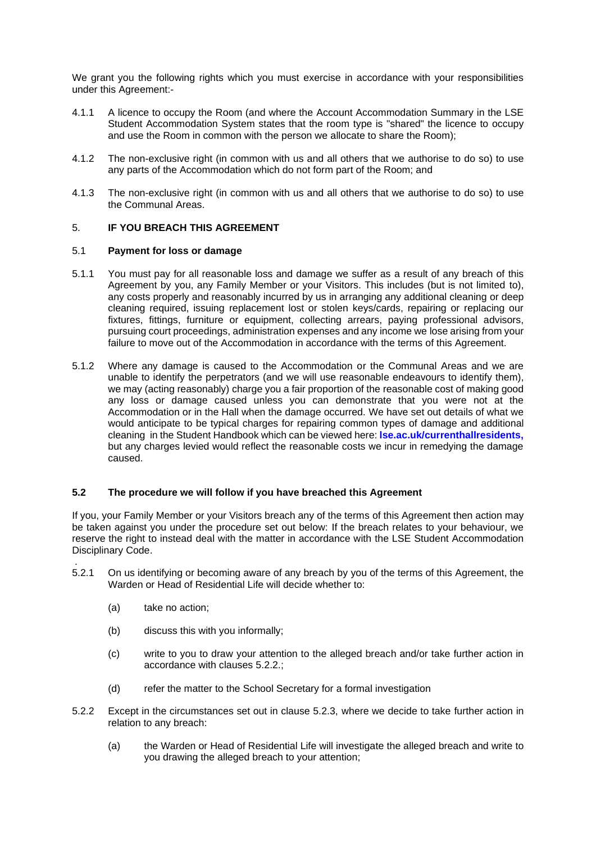We grant you the following rights which you must exercise in accordance with your responsibilities under this Agreement:-

- 4.1.1 A licence to occupy the Room (and where the Account Accommodation Summary in the LSE Student Accommodation System states that the room type is "shared" the licence to occupy and use the Room in common with the person we allocate to share the Room);
- 4.1.2 The non-exclusive right (in common with us and all others that we authorise to do so) to use any parts of the Accommodation which do not form part of the Room; and
- 4.1.3 The non-exclusive right (in common with us and all others that we authorise to do so) to use the Communal Areas.

# 5. **IF YOU BREACH THIS AGREEMENT**

## 5.1 **Payment for loss or damage**

- 5.1.1 You must pay for all reasonable loss and damage we suffer as a result of any breach of this Agreement by you, any Family Member or your Visitors. This includes (but is not limited to), any costs properly and reasonably incurred by us in arranging any additional cleaning or deep cleaning required, issuing replacement lost or stolen keys/cards, repairing or replacing our fixtures, fittings, furniture or equipment, collecting arrears, paying professional advisors, pursuing court proceedings, administration expenses and any income we lose arising from your failure to move out of the Accommodation in accordance with the terms of this Agreement.
- 5.1.2 Where any damage is caused to the Accommodation or the Communal Areas and we are unable to identify the perpetrators (and we will use reasonable endeavours to identify them), we may (acting reasonably) charge you a fair proportion of the reasonable cost of making good any loss or damage caused unless you can demonstrate that you were not at the Accommodation or in the Hall when the damage occurred. We have set out details of what we would anticipate to be typical charges for repairing common types of damage and additional cleaning in the Student Handbook which can be viewed here: **lse.ac.uk/currenthallresidents,**  but any charges levied would reflect the reasonable costs we incur in remedying the damage caused.

# **5.2 The procedure we will follow if you have breached this Agreement**

If you, your Family Member or your Visitors breach any of the terms of this Agreement then action may be taken against you under the procedure set out below: If the breach relates to your behaviour, we reserve the right to instead deal with the matter in accordance with the LSE Student Accommodation Disciplinary Code.

- . 5.2.1 On us identifying or becoming aware of any breach by you of the terms of this Agreement, the Warden or Head of Residential Life will decide whether to:
	- (a) take no action;
	- (b) discuss this with you informally;
	- (c) write to you to draw your attention to the alleged breach and/or take further action in accordance with clauses 5.2.2.;
	- (d) refer the matter to the School Secretary for a formal investigation
- 5.2.2 Except in the circumstances set out in clause 5.2.3, where we decide to take further action in relation to any breach:
	- (a) the Warden or Head of Residential Life will investigate the alleged breach and write to you drawing the alleged breach to your attention;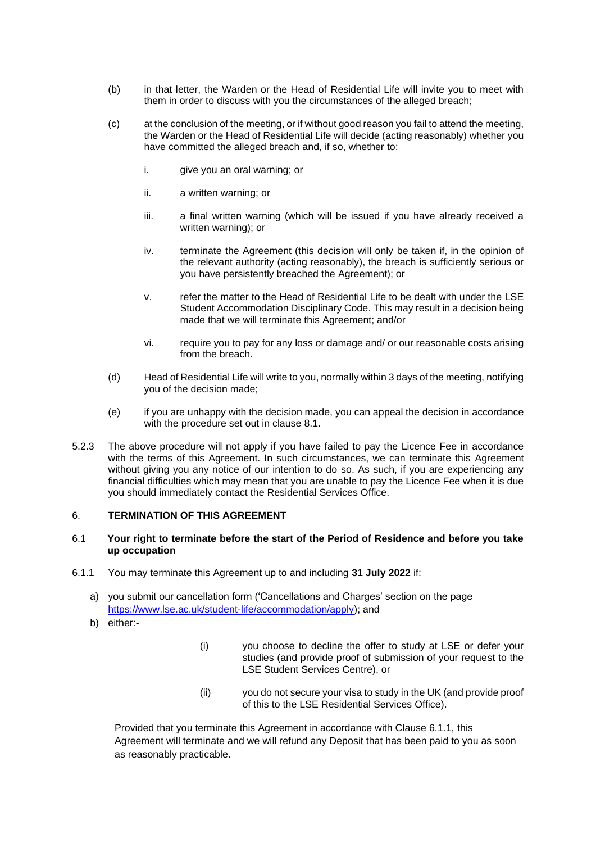- (b) in that letter, the Warden or the Head of Residential Life will invite you to meet with them in order to discuss with you the circumstances of the alleged breach;
- (c) at the conclusion of the meeting, or if without good reason you fail to attend the meeting, the Warden or the Head of Residential Life will decide (acting reasonably) whether you have committed the alleged breach and, if so, whether to:
	- i. give you an oral warning; or
	- ii. a written warning; or
	- iii. a final written warning (which will be issued if you have already received a written warning); or
	- iv. terminate the Agreement (this decision will only be taken if, in the opinion of the relevant authority (acting reasonably), the breach is sufficiently serious or you have persistently breached the Agreement); or
	- v. refer the matter to the Head of Residential Life to be dealt with under the LSE Student Accommodation Disciplinary Code. This may result in a decision being made that we will terminate this Agreement; and/or
	- vi. require you to pay for any loss or damage and/ or our reasonable costs arising from the breach.
- (d) Head of Residential Life will write to you, normally within 3 days of the meeting, notifying you of the decision made;
- (e) if you are unhappy with the decision made, you can appeal the decision in accordance with the procedure set out in clause 8.1.
- 5.2.3 The above procedure will not apply if you have failed to pay the Licence Fee in accordance with the terms of this Agreement. In such circumstances, we can terminate this Agreement without giving you any notice of our intention to do so. As such, if you are experiencing any financial difficulties which may mean that you are unable to pay the Licence Fee when it is due you should immediately contact the Residential Services Office.

# 6. **TERMINATION OF THIS AGREEMENT**

# 6.1 **Your right to terminate before the start of the Period of Residence and before you take up occupation**

- 6.1.1 You may terminate this Agreement up to and including **31 July 2022** if:
	- a) you submit our cancellation form ('Cancellations and Charges' section on the page [https://www.lse.ac.uk/student-life/accommodation/apply\)](https://www.lse.ac.uk/student-life/accommodation/apply); and
	- b) either:-
- (i) you choose to decline the offer to study at LSE or defer your studies (and provide proof of submission of your request to the LSE Student Services Centre), or
- (ii) you do not secure your visa to study in the UK (and provide proof of this to the LSE Residential Services Office).

Provided that you terminate this Agreement in accordance with Clause 6.1.1, this Agreement will terminate and we will refund any Deposit that has been paid to you as soon as reasonably practicable.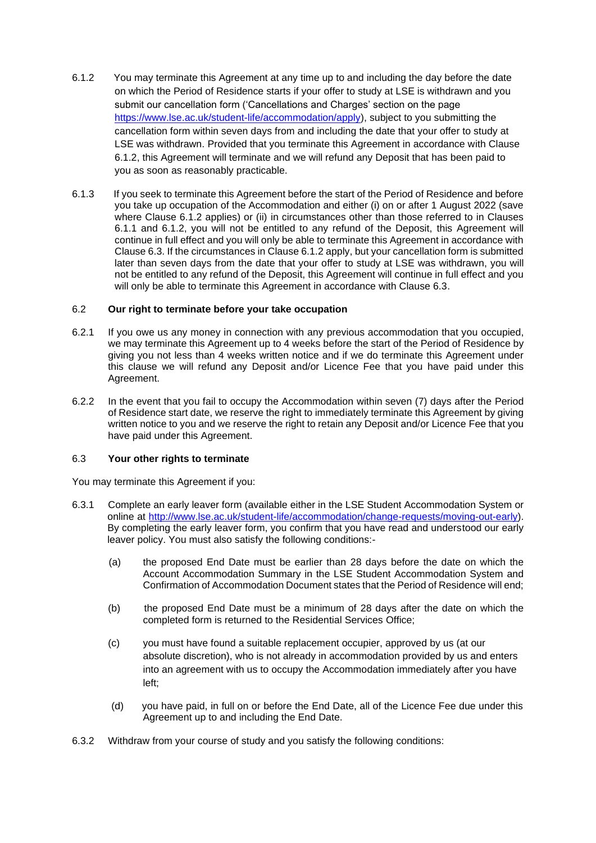- 6.1.2 You may terminate this Agreement at any time up to and including the day before the date on which the Period of Residence starts if your offer to study at LSE is withdrawn and you submit our cancellation form ('Cancellations and Charges' section on the page [https://www.lse.ac.uk/student-life/accommodation/apply\)](https://www.lse.ac.uk/student-life/accommodation/apply), subject to you submitting the cancellation form within seven days from and including the date that your offer to study at LSE was withdrawn. Provided that you terminate this Agreement in accordance with Clause 6.1.2, this Agreement will terminate and we will refund any Deposit that has been paid to you as soon as reasonably practicable.
- 6.1.3 If you seek to terminate this Agreement before the start of the Period of Residence and before you take up occupation of the Accommodation and either (i) on or after 1 August 2022 (save where Clause 6.1.2 applies) or (ii) in circumstances other than those referred to in Clauses 6.1.1 and 6.1.2, you will not be entitled to any refund of the Deposit, this Agreement will continue in full effect and you will only be able to terminate this Agreement in accordance with Clause 6.3. If the circumstances in Clause 6.1.2 apply, but your cancellation form is submitted later than seven days from the date that your offer to study at LSE was withdrawn, you will not be entitled to any refund of the Deposit, this Agreement will continue in full effect and you will only be able to terminate this Agreement in accordance with Clause 6.3.

# 6.2 **Our right to terminate before your take occupation**

- 6.2.1 If you owe us any money in connection with any previous accommodation that you occupied, we may terminate this Agreement up to 4 weeks before the start of the Period of Residence by giving you not less than 4 weeks written notice and if we do terminate this Agreement under this clause we will refund any Deposit and/or Licence Fee that you have paid under this Agreement.
- 6.2.2 In the event that you fail to occupy the Accommodation within seven (7) days after the Period of Residence start date, we reserve the right to immediately terminate this Agreement by giving written notice to you and we reserve the right to retain any Deposit and/or Licence Fee that you have paid under this Agreement.

# 6.3 **Your other rights to terminate**

You may terminate this Agreement if you:

- 6.3.1 Complete an early leaver form (available either in the LSE Student Accommodation System or online at [http://www.lse.ac.uk/student-life/accommodation/change-requests/moving-out-early\)](http://www.lse.ac.uk/student-life/accommodation/change-requests/moving-out-early). By completing the early leaver form, you confirm that you have read and understood our early leaver policy. You must also satisfy the following conditions:-
	- (a) the proposed End Date must be earlier than 28 days before the date on which the Account Accommodation Summary in the LSE Student Accommodation System and Confirmation of Accommodation Document states that the Period of Residence will end;
	- (b) the proposed End Date must be a minimum of 28 days after the date on which the completed form is returned to the Residential Services Office;
	- (c) you must have found a suitable replacement occupier, approved by us (at our absolute discretion), who is not already in accommodation provided by us and enters into an agreement with us to occupy the Accommodation immediately after you have left;
	- (d) you have paid, in full on or before the End Date, all of the Licence Fee due under this Agreement up to and including the End Date.
- 6.3.2 Withdraw from your course of study and you satisfy the following conditions: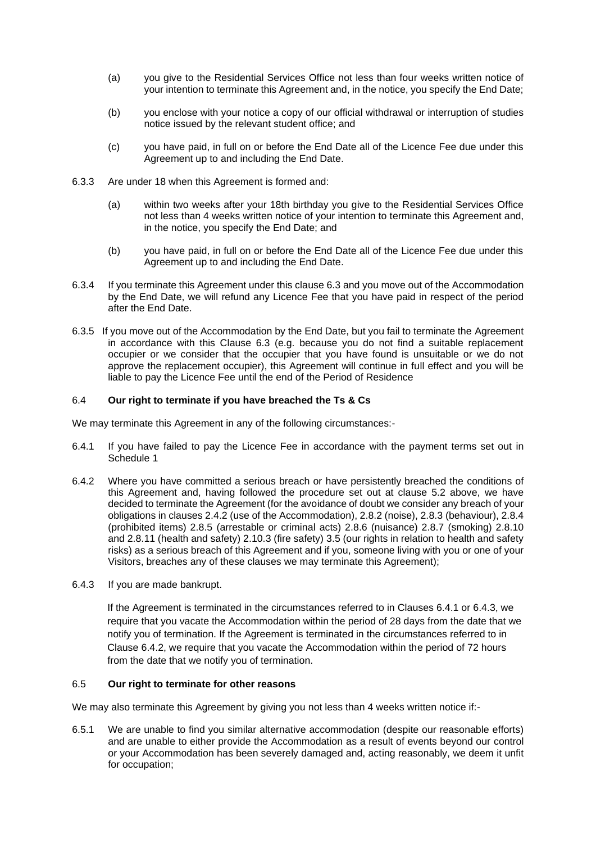- (a) you give to the Residential Services Office not less than four weeks written notice of your intention to terminate this Agreement and, in the notice, you specify the End Date;
- (b) you enclose with your notice a copy of our official withdrawal or interruption of studies notice issued by the relevant student office; and
- (c) you have paid, in full on or before the End Date all of the Licence Fee due under this Agreement up to and including the End Date.
- 6.3.3 Are under 18 when this Agreement is formed and:
	- (a) within two weeks after your 18th birthday you give to the Residential Services Office not less than 4 weeks written notice of your intention to terminate this Agreement and, in the notice, you specify the End Date; and
	- (b) you have paid, in full on or before the End Date all of the Licence Fee due under this Agreement up to and including the End Date.
- 6.3.4 If you terminate this Agreement under this clause 6.3 and you move out of the Accommodation by the End Date, we will refund any Licence Fee that you have paid in respect of the period after the End Date.
- 6.3.5 If you move out of the Accommodation by the End Date, but you fail to terminate the Agreement in accordance with this Clause 6.3 (e.g. because you do not find a suitable replacement occupier or we consider that the occupier that you have found is unsuitable or we do not approve the replacement occupier), this Agreement will continue in full effect and you will be liable to pay the Licence Fee until the end of the Period of Residence

# 6.4 **Our right to terminate if you have breached the Ts & Cs**

We may terminate this Agreement in any of the following circumstances:-

- 6.4.1 If you have failed to pay the Licence Fee in accordance with the payment terms set out in Schedule 1
- 6.4.2 Where you have committed a serious breach or have persistently breached the conditions of this Agreement and, having followed the procedure set out at clause 5.2 above, we have decided to terminate the Agreement (for the avoidance of doubt we consider any breach of your obligations in clauses 2.4.2 (use of the Accommodation), 2.8.2 (noise), 2.8.3 (behaviour), 2.8.4 (prohibited items) 2.8.5 (arrestable or criminal acts) 2.8.6 (nuisance) 2.8.7 (smoking) 2.8.10 and 2.8.11 (health and safety) 2.10.3 (fire safety) 3.5 (our rights in relation to health and safety risks) as a serious breach of this Agreement and if you, someone living with you or one of your Visitors, breaches any of these clauses we may terminate this Agreement);
- 6.4.3 If you are made bankrupt.

If the Agreement is terminated in the circumstances referred to in Clauses 6.4.1 or 6.4.3, we require that you vacate the Accommodation within the period of 28 days from the date that we notify you of termination. If the Agreement is terminated in the circumstances referred to in Clause 6.4.2, we require that you vacate the Accommodation within the period of 72 hours from the date that we notify you of termination.

# 6.5 **Our right to terminate for other reasons**

We may also terminate this Agreement by giving you not less than 4 weeks written notice if:-

6.5.1 We are unable to find you similar alternative accommodation (despite our reasonable efforts) and are unable to either provide the Accommodation as a result of events beyond our control or your Accommodation has been severely damaged and, acting reasonably, we deem it unfit for occupation;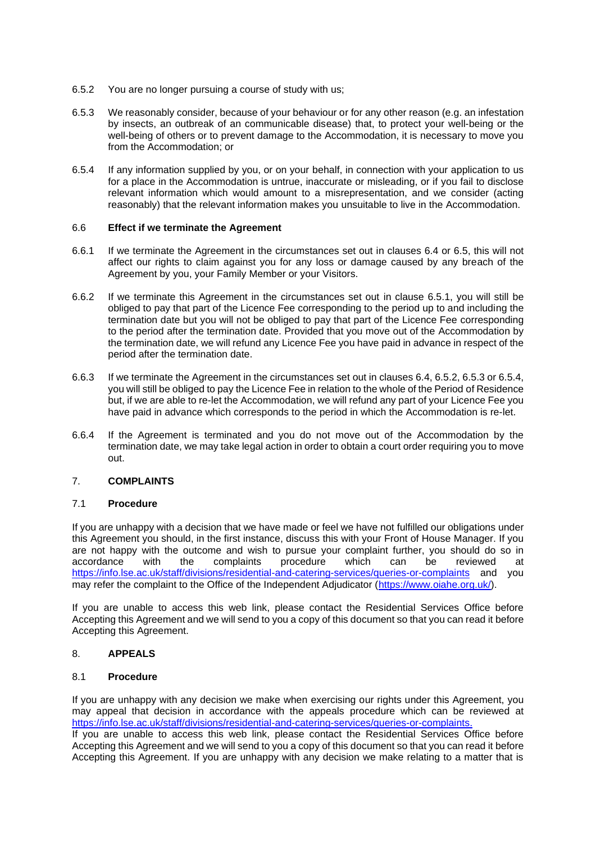- 6.5.2 You are no longer pursuing a course of study with us;
- 6.5.3 We reasonably consider, because of your behaviour or for any other reason (e.g. an infestation by insects, an outbreak of an communicable disease) that, to protect your well-being or the well-being of others or to prevent damage to the Accommodation, it is necessary to move you from the Accommodation; or
- 6.5.4 If any information supplied by you, or on your behalf, in connection with your application to us for a place in the Accommodation is untrue, inaccurate or misleading, or if you fail to disclose relevant information which would amount to a misrepresentation, and we consider (acting reasonably) that the relevant information makes you unsuitable to live in the Accommodation.

## 6.6 **Effect if we terminate the Agreement**

- 6.6.1 If we terminate the Agreement in the circumstances set out in clauses 6.4 or 6.5, this will not affect our rights to claim against you for any loss or damage caused by any breach of the Agreement by you, your Family Member or your Visitors.
- 6.6.2 If we terminate this Agreement in the circumstances set out in clause 6.5.1, you will still be obliged to pay that part of the Licence Fee corresponding to the period up to and including the termination date but you will not be obliged to pay that part of the Licence Fee corresponding to the period after the termination date. Provided that you move out of the Accommodation by the termination date, we will refund any Licence Fee you have paid in advance in respect of the period after the termination date.
- 6.6.3 If we terminate the Agreement in the circumstances set out in clauses 6.4, 6.5.2, 6.5.3 or 6.5.4, you will still be obliged to pay the Licence Fee in relation to the whole of the Period of Residence but, if we are able to re-let the Accommodation, we will refund any part of your Licence Fee you have paid in advance which corresponds to the period in which the Accommodation is re-let.
- 6.6.4 If the Agreement is terminated and you do not move out of the Accommodation by the termination date, we may take legal action in order to obtain a court order requiring you to move out.

# 7. **COMPLAINTS**

## 7.1 **Procedure**

If you are unhappy with a decision that we have made or feel we have not fulfilled our obligations under this Agreement you should, in the first instance, discuss this with your Front of House Manager. If you are not happy with the outcome and wish to pursue your complaint further, you should do so in accordance with the complaints procedure which can be reviewed at <https://info.lse.ac.uk/staff/divisions/residential-and-catering-services/queries-or-complaints> and you may refer the complaint to the Office of the Independent Adjudicator [\(https://www.oiahe.org.uk/\)](https://www.oiahe.org.uk/).

If you are unable to access this web link, please contact the Residential Services Office before Accepting this Agreement and we will send to you a copy of this document so that you can read it before Accepting this Agreement.

# 8. **APPEALS**

## 8.1 **Procedure**

If you are unhappy with any decision we make when exercising our rights under this Agreement, you may appeal that decision in accordance with the appeals procedure which can be reviewed at [https://info.lse.ac.uk/staff/divisions/residential-and-catering-services/queries-or-complaints.](https://info.lse.ac.uk/staff/divisions/residential-and-catering-services/queries-or-complaints)

If you are unable to access this web link, please contact the Residential Services Office before Accepting this Agreement and we will send to you a copy of this document so that you can read it before Accepting this Agreement. If you are unhappy with any decision we make relating to a matter that is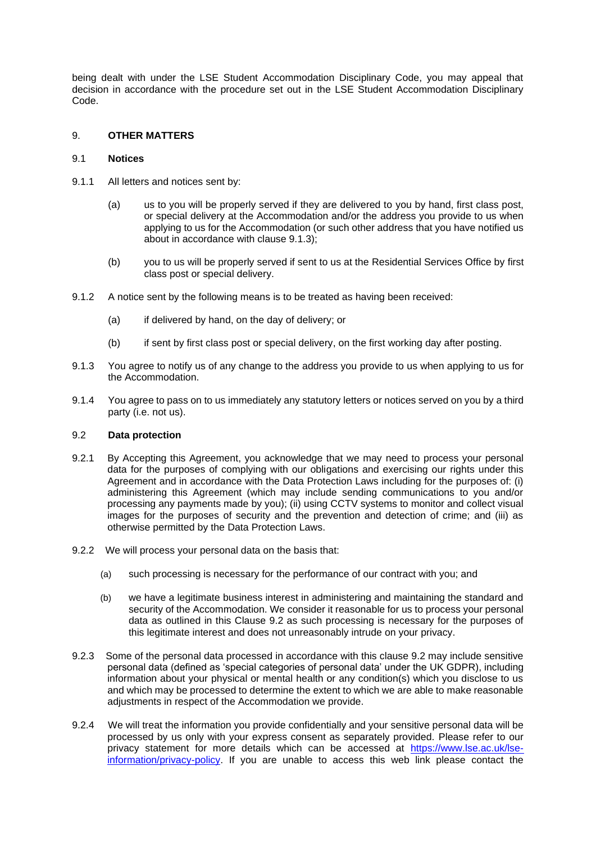being dealt with under the LSE Student Accommodation Disciplinary Code, you may appeal that decision in accordance with the procedure set out in the LSE Student Accommodation Disciplinary Code.

# 9. **OTHER MATTERS**

# 9.1 **Notices**

- 9.1.1 All letters and notices sent by:
	- (a) us to you will be properly served if they are delivered to you by hand, first class post, or special delivery at the Accommodation and/or the address you provide to us when applying to us for the Accommodation (or such other address that you have notified us about in accordance with clause 9.1.3);
	- (b) you to us will be properly served if sent to us at the Residential Services Office by first class post or special delivery.
- 9.1.2 A notice sent by the following means is to be treated as having been received:
	- (a) if delivered by hand, on the day of delivery; or
	- (b) if sent by first class post or special delivery, on the first working day after posting.
- 9.1.3 You agree to notify us of any change to the address you provide to us when applying to us for the Accommodation.
- 9.1.4 You agree to pass on to us immediately any statutory letters or notices served on you by a third party (i.e. not us).

## 9.2 **Data protection**

- 9.2.1 By Accepting this Agreement, you acknowledge that we may need to process your personal data for the purposes of complying with our obligations and exercising our rights under this Agreement and in accordance with the Data Protection Laws including for the purposes of: (i) administering this Agreement (which may include sending communications to you and/or processing any payments made by you); (ii) using CCTV systems to monitor and collect visual images for the purposes of security and the prevention and detection of crime; and (iii) as otherwise permitted by the Data Protection Laws.
- 9.2.2 We will process your personal data on the basis that:
	- (a) such processing is necessary for the performance of our contract with you; and
	- (b) we have a legitimate business interest in administering and maintaining the standard and security of the Accommodation. We consider it reasonable for us to process your personal data as outlined in this Clause 9.2 as such processing is necessary for the purposes of this legitimate interest and does not unreasonably intrude on your privacy.
- 9.2.3 Some of the personal data processed in accordance with this clause 9.2 may include sensitive personal data (defined as 'special categories of personal data' under the UK GDPR), including information about your physical or mental health or any condition(s) which you disclose to us and which may be processed to determine the extent to which we are able to make reasonable adjustments in respect of the Accommodation we provide.
- 9.2.4 We will treat the information you provide confidentially and your sensitive personal data will be processed by us only with your express consent as separately provided. Please refer to our privacy statement for more details which can be accessed at [https://www.lse.ac.uk/lse](https://www.lse.ac.uk/lse-information/privacy-policy)[information/privacy-policy.](https://www.lse.ac.uk/lse-information/privacy-policy) If you are unable to access this web link please contact the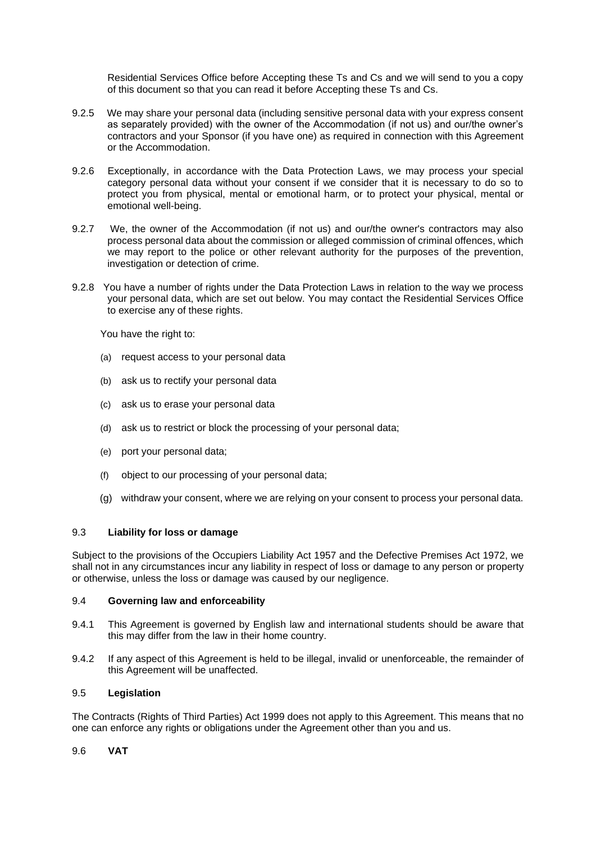Residential Services Office before Accepting these Ts and Cs and we will send to you a copy of this document so that you can read it before Accepting these Ts and Cs.

- 9.2.5 We may share your personal data (including sensitive personal data with your express consent as separately provided) with the owner of the Accommodation (if not us) and our/the owner's contractors and your Sponsor (if you have one) as required in connection with this Agreement or the Accommodation.
- 9.2.6 Exceptionally, in accordance with the Data Protection Laws, we may process your special category personal data without your consent if we consider that it is necessary to do so to protect you from physical, mental or emotional harm, or to protect your physical, mental or emotional well-being.
- 9.2.7 We, the owner of the Accommodation (if not us) and our/the owner's contractors may also process personal data about the commission or alleged commission of criminal offences, which we may report to the police or other relevant authority for the purposes of the prevention, investigation or detection of crime.
- 9.2.8 You have a number of rights under the Data Protection Laws in relation to the way we process your personal data, which are set out below. You may contact the Residential Services Office to exercise any of these rights.

You have the right to:

- (a) request access to your personal data
- (b) ask us to rectify your personal data
- (c) ask us to erase your personal data
- (d) ask us to restrict or block the processing of your personal data;
- (e) port your personal data;
- (f) object to our processing of your personal data;
- (g) withdraw your consent, where we are relying on your consent to process your personal data.

# 9.3 **Liability for loss or damage**

Subject to the provisions of the Occupiers Liability Act 1957 and the Defective Premises Act 1972, we shall not in any circumstances incur any liability in respect of loss or damage to any person or property or otherwise, unless the loss or damage was caused by our negligence.

## 9.4 **Governing law and enforceability**

- 9.4.1 This Agreement is governed by English law and international students should be aware that this may differ from the law in their home country.
- 9.4.2 If any aspect of this Agreement is held to be illegal, invalid or unenforceable, the remainder of this Agreement will be unaffected.

## 9.5 **Legislation**

The Contracts (Rights of Third Parties) Act 1999 does not apply to this Agreement. This means that no one can enforce any rights or obligations under the Agreement other than you and us.

# 9.6 **VAT**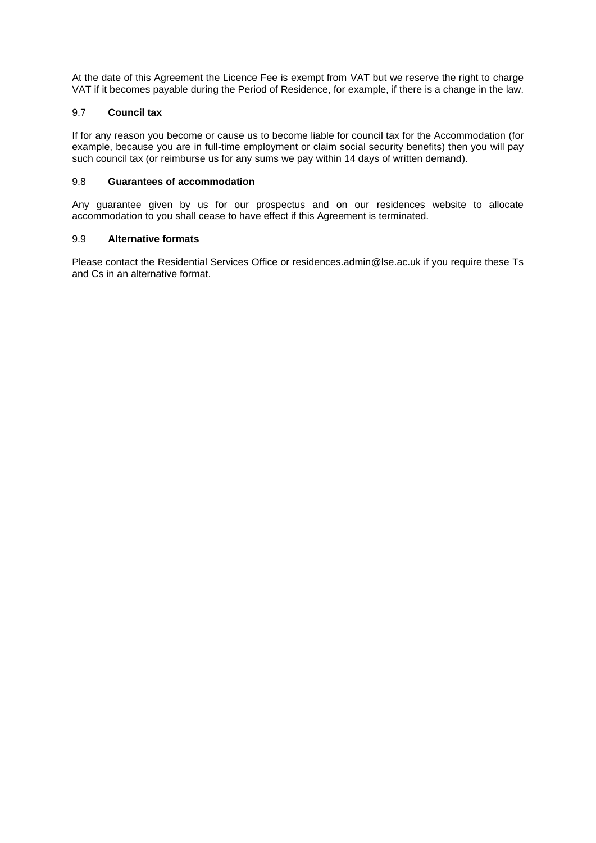At the date of this Agreement the Licence Fee is exempt from VAT but we reserve the right to charge VAT if it becomes payable during the Period of Residence, for example, if there is a change in the law.

# 9.7 **Council tax**

If for any reason you become or cause us to become liable for council tax for the Accommodation (for example, because you are in full-time employment or claim social security benefits) then you will pay such council tax (or reimburse us for any sums we pay within 14 days of written demand).

# 9.8 **Guarantees of accommodation**

Any guarantee given by us for our prospectus and on our residences website to allocate accommodation to you shall cease to have effect if this Agreement is terminated.

# 9.9 **Alternative formats**

Please contact the Residential Services Office or residences.admin@lse.ac.uk if you require these Ts and Cs in an alternative format.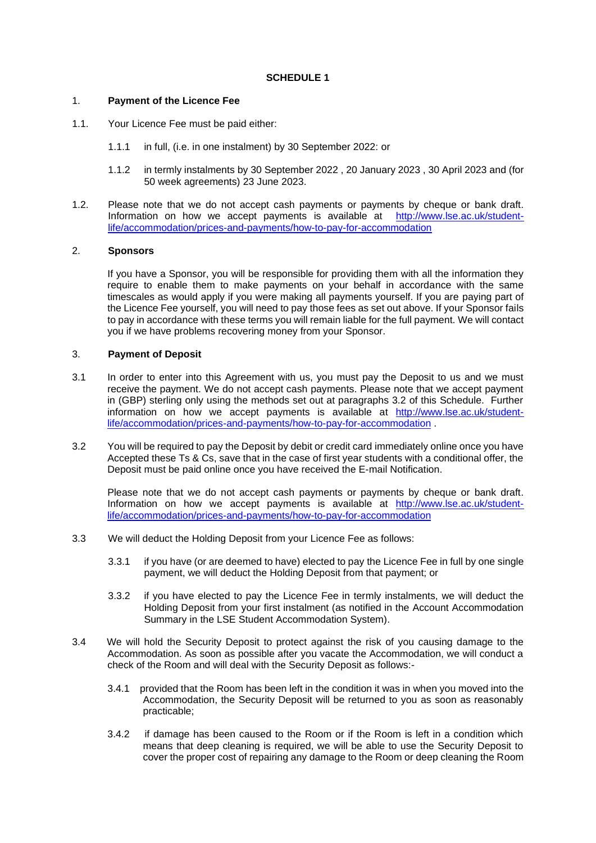# **SCHEDULE 1**

## 1. **Payment of the Licence Fee**

- 1.1. Your Licence Fee must be paid either:
	- 1.1.1 in full, (i.e. in one instalment) by 30 September 2022: or
	- 1.1.2 in termly instalments by 30 September 2022 , 20 January 2023 , 30 April 2023 and (for 50 week agreements) 23 June 2023.
- 1.2. Please note that we do not accept cash payments or payments by cheque or bank draft. Information on how we accept payments is available at [http://www.lse.ac.uk/student](http://www.lse.ac.uk/student-life/accommodation/prices-and-payments/how-to-pay-for-accommodation)[life/accommodation/prices-and-payments/how-to-pay-for-accommodation](http://www.lse.ac.uk/student-life/accommodation/prices-and-payments/how-to-pay-for-accommodation)

# 2. **Sponsors**

If you have a Sponsor, you will be responsible for providing them with all the information they require to enable them to make payments on your behalf in accordance with the same timescales as would apply if you were making all payments yourself. If you are paying part of the Licence Fee yourself, you will need to pay those fees as set out above. If your Sponsor fails to pay in accordance with these terms you will remain liable for the full payment. We will contact you if we have problems recovering money from your Sponsor.

# 3. **Payment of Deposit**

- 3.1 In order to enter into this Agreement with us, you must pay the Deposit to us and we must receive the payment. We do not accept cash payments. Please note that we accept payment in (GBP) sterling only using the methods set out at paragraphs 3.2 of this Schedule. Further information on how we accept payments is available at [http://www.lse.ac.uk/student](http://www.lse.ac.uk/student-life/accommodation/prices-and-payments/how-to-pay-for-accommodation)[life/accommodation/prices-and-payments/how-to-pay-for-accommodation](http://www.lse.ac.uk/student-life/accommodation/prices-and-payments/how-to-pay-for-accommodation) .
- 3.2 You will be required to pay the Deposit by debit or credit card immediately online once you have Accepted these Ts & Cs, save that in the case of first year students with a conditional offer, the Deposit must be paid online once you have received the E-mail Notification.

Please note that we do not accept cash payments or payments by cheque or bank draft. Information on how we accept payments is available at [http://www.lse.ac.uk/student](http://www.lse.ac.uk/student-life/accommodation/prices-and-payments/how-to-pay-for-accommodation)[life/accommodation/prices-and-payments/how-to-pay-for-accommodation](http://www.lse.ac.uk/student-life/accommodation/prices-and-payments/how-to-pay-for-accommodation)

- 3.3 We will deduct the Holding Deposit from your Licence Fee as follows:
	- 3.3.1 if you have (or are deemed to have) elected to pay the Licence Fee in full by one single payment, we will deduct the Holding Deposit from that payment; or
	- 3.3.2 if you have elected to pay the Licence Fee in termly instalments, we will deduct the Holding Deposit from your first instalment (as notified in the Account Accommodation Summary in the LSE Student Accommodation System).
- 3.4 We will hold the Security Deposit to protect against the risk of you causing damage to the Accommodation. As soon as possible after you vacate the Accommodation, we will conduct a check of the Room and will deal with the Security Deposit as follows:-
	- 3.4.1 provided that the Room has been left in the condition it was in when you moved into the Accommodation, the Security Deposit will be returned to you as soon as reasonably practicable;
	- 3.4.2 if damage has been caused to the Room or if the Room is left in a condition which means that deep cleaning is required, we will be able to use the Security Deposit to cover the proper cost of repairing any damage to the Room or deep cleaning the Room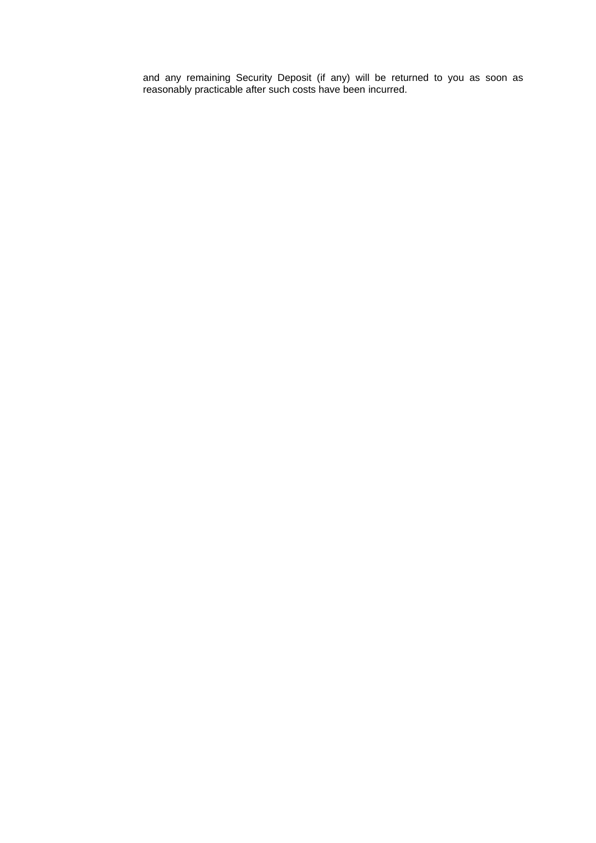and any remaining Security Deposit (if any) will be returned to you as soon as reasonably practicable after such costs have been incurred.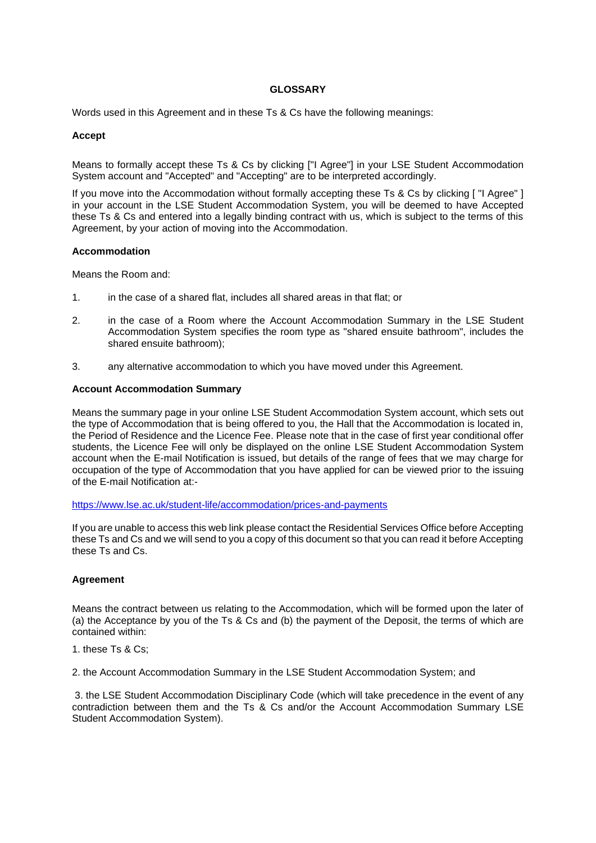# **GLOSSARY**

Words used in this Agreement and in these Ts & Cs have the following meanings:

## **Accept**

Means to formally accept these Ts & Cs by clicking ["I Agree"] in your LSE Student Accommodation System account and "Accepted" and "Accepting" are to be interpreted accordingly.

If you move into the Accommodation without formally accepting these Ts & Cs by clicking [ "I Agree" ] in your account in the LSE Student Accommodation System, you will be deemed to have Accepted these Ts & Cs and entered into a legally binding contract with us, which is subject to the terms of this Agreement, by your action of moving into the Accommodation.

#### **Accommodation**

Means the Room and:

- 1. in the case of a shared flat, includes all shared areas in that flat; or
- 2. in the case of a Room where the Account Accommodation Summary in the LSE Student Accommodation System specifies the room type as "shared ensuite bathroom", includes the shared ensuite bathroom);
- 3. any alternative accommodation to which you have moved under this Agreement.

# **Account Accommodation Summary**

Means the summary page in your online LSE Student Accommodation System account, which sets out the type of Accommodation that is being offered to you, the Hall that the Accommodation is located in, the Period of Residence and the Licence Fee. Please note that in the case of first year conditional offer students, the Licence Fee will only be displayed on the online LSE Student Accommodation System account when the E-mail Notification is issued, but details of the range of fees that we may charge for occupation of the type of Accommodation that you have applied for can be viewed prior to the issuing of the E-mail Notification at:-

<https://www.lse.ac.uk/student-life/accommodation/prices-and-payments>

If you are unable to access this web link please contact the Residential Services Office before Accepting these Ts and Cs and we will send to you a copy of this document so that you can read it before Accepting these Ts and Cs.

## **Agreement**

Means the contract between us relating to the Accommodation, which will be formed upon the later of (a) the Acceptance by you of the Ts & Cs and (b) the payment of the Deposit, the terms of which are contained within:

1. these Ts & Cs;

2. the Account Accommodation Summary in the LSE Student Accommodation System; and

3. the LSE Student Accommodation Disciplinary Code (which will take precedence in the event of any contradiction between them and the Ts & Cs and/or the Account Accommodation Summary LSE Student Accommodation System).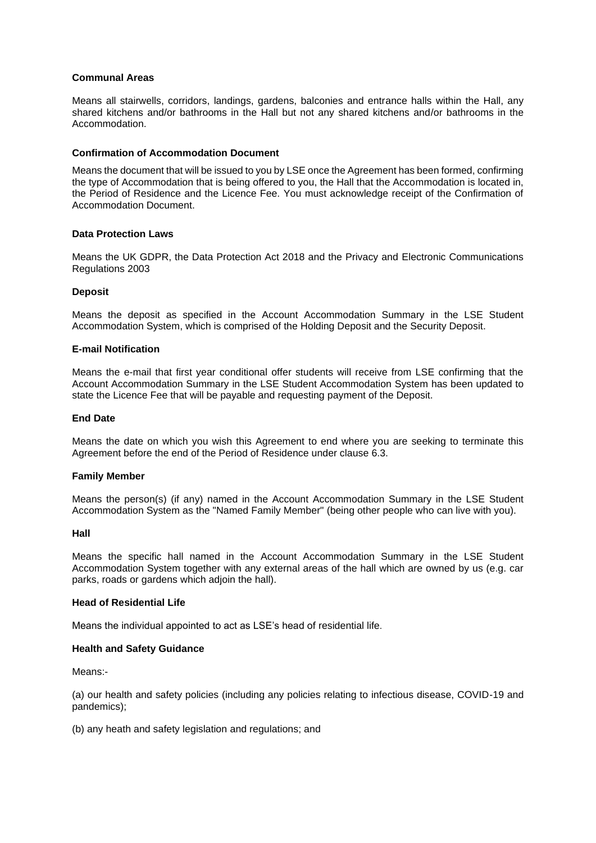## **Communal Areas**

Means all stairwells, corridors, landings, gardens, balconies and entrance halls within the Hall, any shared kitchens and/or bathrooms in the Hall but not any shared kitchens and/or bathrooms in the Accommodation.

## **Confirmation of Accommodation Document**

Means the document that will be issued to you by LSE once the Agreement has been formed, confirming the type of Accommodation that is being offered to you, the Hall that the Accommodation is located in, the Period of Residence and the Licence Fee. You must acknowledge receipt of the Confirmation of Accommodation Document.

# **Data Protection Laws**

Means the UK GDPR, the Data Protection Act 2018 and the Privacy and Electronic Communications Regulations 2003

## **Deposit**

Means the deposit as specified in the Account Accommodation Summary in the LSE Student Accommodation System, which is comprised of the Holding Deposit and the Security Deposit.

## **E-mail Notification**

Means the e-mail that first year conditional offer students will receive from LSE confirming that the Account Accommodation Summary in the LSE Student Accommodation System has been updated to state the Licence Fee that will be payable and requesting payment of the Deposit.

#### **End Date**

Means the date on which you wish this Agreement to end where you are seeking to terminate this Agreement before the end of the Period of Residence under clause 6.3.

## **Family Member**

Means the person(s) (if any) named in the Account Accommodation Summary in the LSE Student Accommodation System as the "Named Family Member" (being other people who can live with you).

#### **Hall**

Means the specific hall named in the Account Accommodation Summary in the LSE Student Accommodation System together with any external areas of the hall which are owned by us (e.g. car parks, roads or gardens which adjoin the hall).

## **Head of Residential Life**

Means the individual appointed to act as LSE's head of residential life.

## **Health and Safety Guidance**

Means:-

(a) our health and safety policies (including any policies relating to infectious disease, COVID-19 and pandemics);

(b) any heath and safety legislation and regulations; and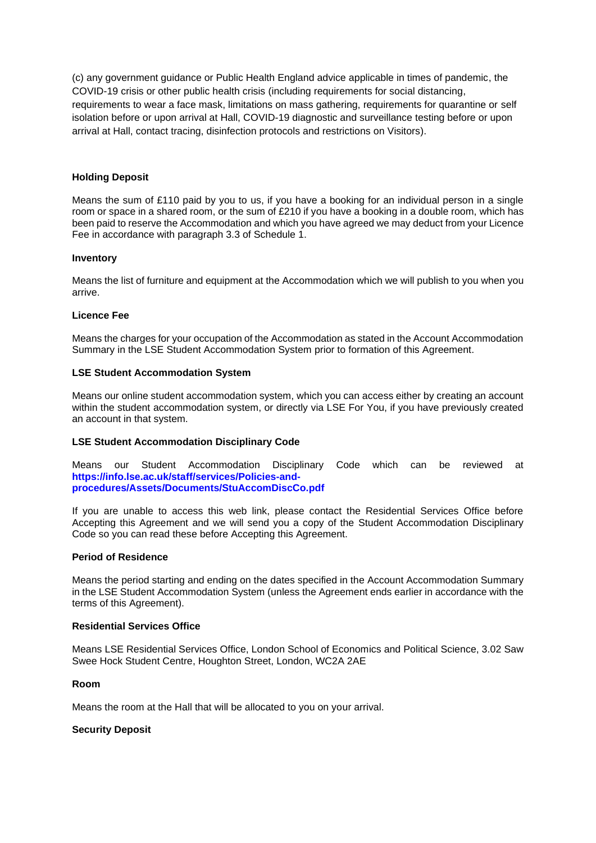(c) any government guidance or Public Health England advice applicable in times of pandemic, the COVID-19 crisis or other public health crisis (including requirements for social distancing, requirements to wear a face mask, limitations on mass gathering, requirements for quarantine or self isolation before or upon arrival at Hall, COVID-19 diagnostic and surveillance testing before or upon arrival at Hall, contact tracing, disinfection protocols and restrictions on Visitors).

# **Holding Deposit**

Means the sum of £110 paid by you to us, if you have a booking for an individual person in a single room or space in a shared room, or the sum of £210 if you have a booking in a double room, which has been paid to reserve the Accommodation and which you have agreed we may deduct from your Licence Fee in accordance with paragraph 3.3 of Schedule 1.

## **Inventory**

Means the list of furniture and equipment at the Accommodation which we will publish to you when you arrive.

# **Licence Fee**

Means the charges for your occupation of the Accommodation as stated in the Account Accommodation Summary in the LSE Student Accommodation System prior to formation of this Agreement.

# **LSE Student Accommodation System**

Means our online student accommodation system, which you can access either by creating an account within the student accommodation system, or directly via LSE For You, if you have previously created an account in that system.

# **LSE Student Accommodation Disciplinary Code**

Means our Student Accommodation Disciplinary Code which can be reviewed at **https://info.lse.ac.uk/staff/services/Policies-andprocedures/Assets/Documents/StuAccomDiscCo.pdf**

If you are unable to access this web link, please contact the Residential Services Office before Accepting this Agreement and we will send you a copy of the Student Accommodation Disciplinary Code so you can read these before Accepting this Agreement.

## **Period of Residence**

Means the period starting and ending on the dates specified in the Account Accommodation Summary in the LSE Student Accommodation System (unless the Agreement ends earlier in accordance with the terms of this Agreement).

## **Residential Services Office**

Means LSE Residential Services Office, London School of Economics and Political Science, 3.02 Saw Swee Hock Student Centre, Houghton Street, London, WC2A 2AE

# **Room**

Means the room at the Hall that will be allocated to you on your arrival.

## **Security Deposit**